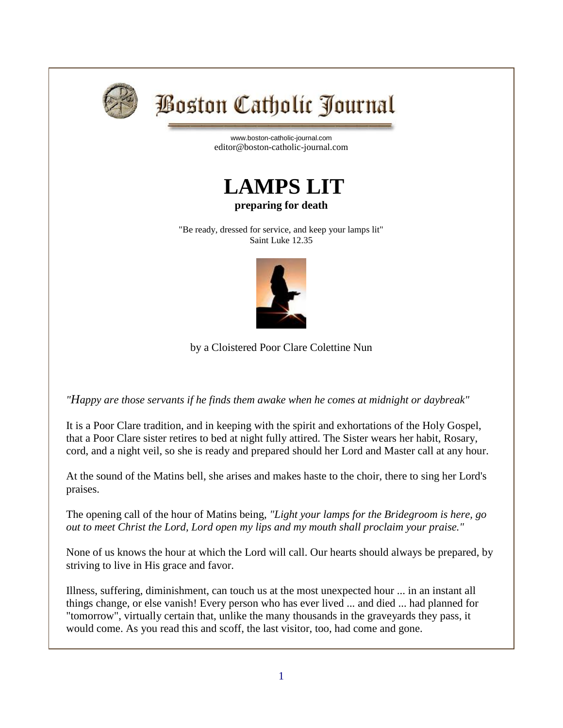

## **Boston Catholic Journal**

[www.boston-catholic-journal.com](http://www.boston-catholic-journal.com/) editor@boston-catholic-journal.com



## **preparing for death**

"Be ready, dressed for service, and keep your lamps lit" Saint Luke 12.35



by a Cloistered Poor Clare Colettine Nun

*"Happy are those servants if he finds them awake when he comes at midnight or daybreak"*

It is a Poor Clare tradition, and in keeping with the spirit and exhortations of the Holy Gospel, that a Poor Clare sister retires to bed at night fully attired. The Sister wears her habit, Rosary, cord, and a night veil, so she is ready and prepared should her Lord and Master call at any hour.

At the sound of the Matins bell, she arises and makes haste to the choir, there to sing her Lord's praises.

The opening call of the hour of Matins being, *"Light your lamps for the Bridegroom is here, go out to meet Christ the Lord, Lord open my lips and my mouth shall proclaim your praise."*

None of us knows the hour at which the Lord will call. Our hearts should always be prepared, by striving to live in His grace and favor.

Illness, suffering, diminishment, can touch us at the most unexpected hour ... in an instant all things change, or else vanish! Every person who has ever lived ... and died ... had planned for "tomorrow", virtually certain that, unlike the many thousands in the graveyards they pass, it would come. As you read this and scoff, the last visitor, too, had come and gone.